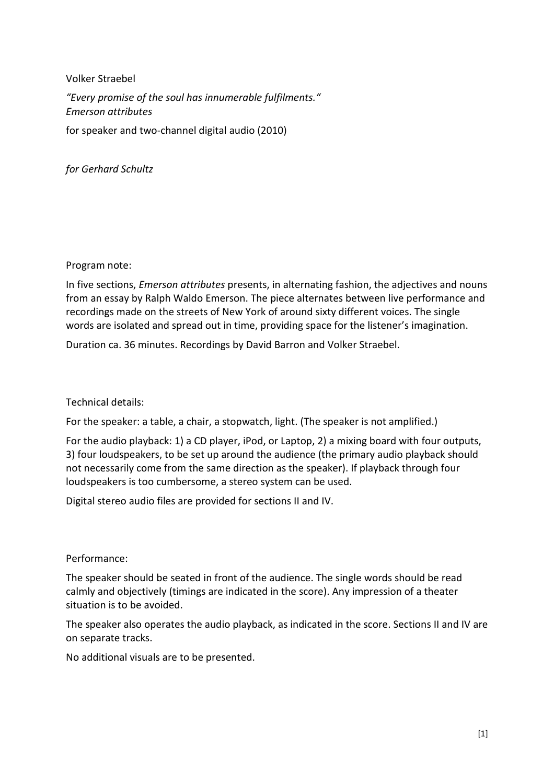Volker Straebel *"Every promise of the soul has innumerable fulfilments." Emerson attributes*  for speaker and two-channel digital audio (2010)

*for Gerhard Schultz* 

Program note:

In five sections, *Emerson attributes* presents, in alternating fashion, the adjectives and nouns from an essay by Ralph Waldo Emerson. The piece alternates between live performance and recordings made on the streets of New York of around sixty different voices. The single words are isolated and spread out in time, providing space for the listener's imagination.

Duration ca. 36 minutes. Recordings by David Barron and Volker Straebel.

Technical details:

For the speaker: a table, a chair, a stopwatch, light. (The speaker is not amplified.)

For the audio playback: 1) a CD player, iPod, or Laptop, 2) a mixing board with four outputs, 3) four loudspeakers, to be set up around the audience (the primary audio playback should not necessarily come from the same direction as the speaker). If playback through four loudspeakers is too cumbersome, a stereo system can be used.

Digital stereo audio files are provided for sections II and IV.

Performance:

The speaker should be seated in front of the audience. The single words should be read calmly and objectively (timings are indicated in the score). Any impression of a theater situation is to be avoided.

The speaker also operates the audio playback, as indicated in the score. Sections II and IV are on separate tracks.

No additional visuals are to be presented.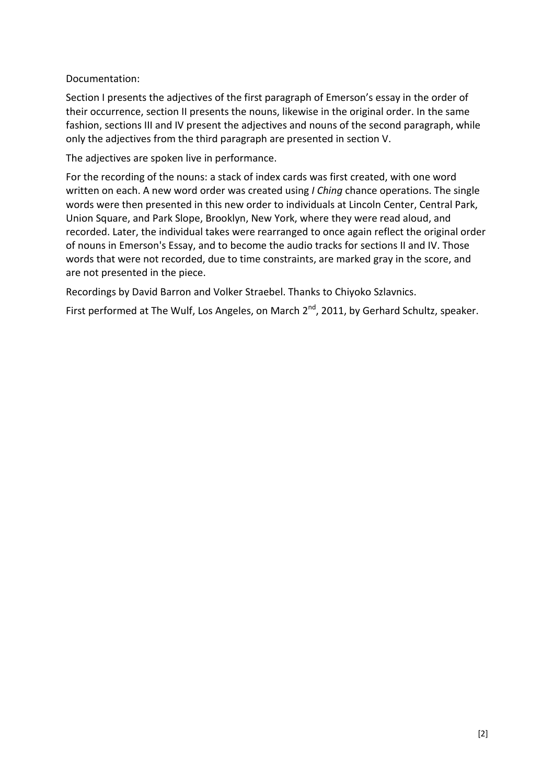Documentation:

Section I presents the adjectives of the first paragraph of Emerson's essay in the order of their occurrence, section II presents the nouns, likewise in the original order. In the same fashion, sections III and IV present the adjectives and nouns of the second paragraph, while only the adjectives from the third paragraph are presented in section V.

The adjectives are spoken live in performance.

For the recording of the nouns: a stack of index cards was first created, with one word written on each. A new word order was created using *I Ching* chance operations. The single words were then presented in this new order to individuals at Lincoln Center, Central Park, Union Square, and Park Slope, Brooklyn, New York, where they were read aloud, and recorded. Later, the individual takes were rearranged to once again reflect the original order of nouns in Emerson's Essay, and to become the audio tracks for sections II and IV. Those words that were not recorded, due to time constraints, are marked gray in the score, and are not presented in the piece.

Recordings by David Barron and Volker Straebel. Thanks to Chiyoko Szlavnics.

First performed at The Wulf, Los Angeles, on March 2<sup>nd</sup>, 2011, by Gerhard Schultz, speaker.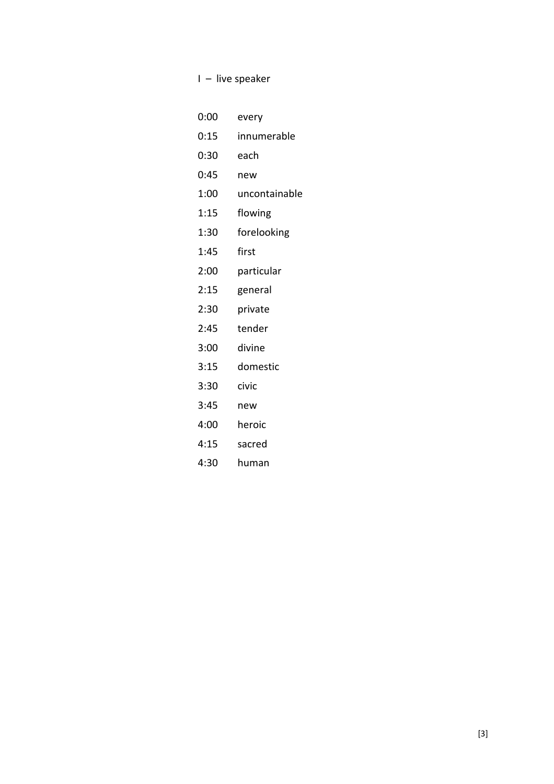I – live speaker

| 0:00 | every         |
|------|---------------|
| 0:15 | innumerable   |
| 0:30 | each          |
| 0:45 | new           |
| 1:00 | uncontainable |
| 1:15 | flowing       |
| 1:30 | forelooking   |
| 1:45 | first         |
| 2:00 | particular    |
| 2:15 | general       |
| 2:30 | private       |
| 2:45 | tender        |
| 3:00 | divine        |
| 3:15 | domestic      |
| 3:30 | civic         |
| 3:45 | new           |
| 4:00 | heroic        |
| 4:15 | sacred        |
| 4:30 | human         |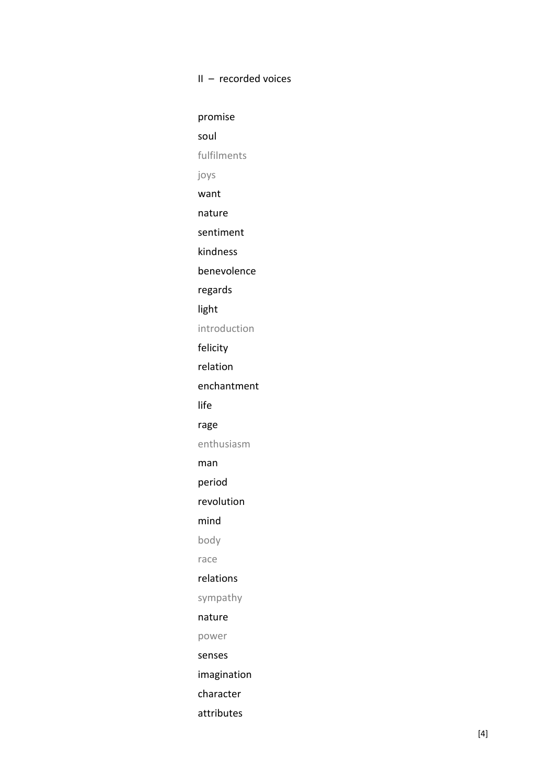## II – recorded voices

promise soul fulfilments joys want nature sentiment kindness benevolence regards light introduction felicity relation enchantment life rage enthusiasm man period revolution mind body race relations sympathy nature power senses imagination character attributes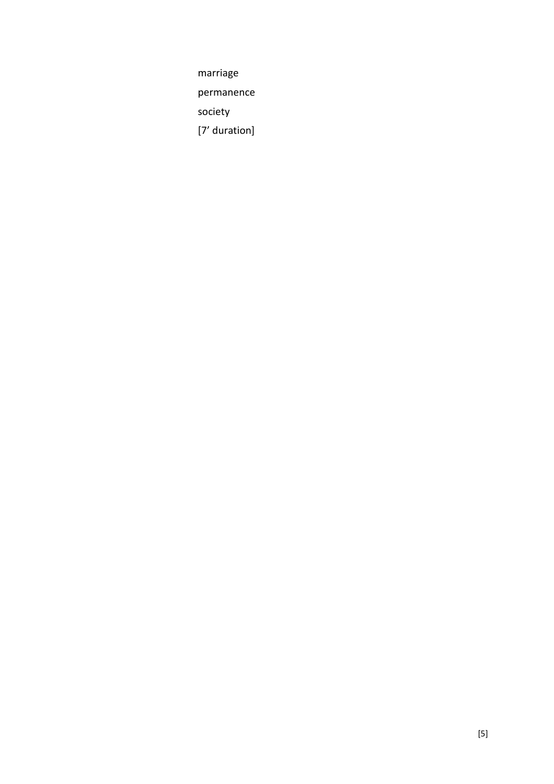marriage

permanence

society

[7' duration]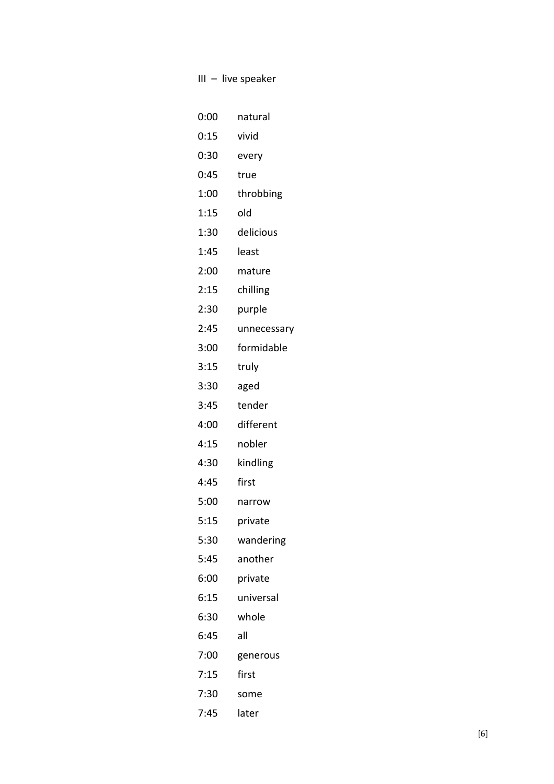| III – live speaker |             |  |
|--------------------|-------------|--|
|                    |             |  |
| 0:00               | natural     |  |
| 0:15               | vivid       |  |
| 0:30               | every       |  |
| 0:45               | true        |  |
| 1:00               | throbbing   |  |
| 1:15               | old         |  |
| 1:30               | delicious   |  |
| 1:45               | least       |  |
| 2:00               | mature      |  |
| 2:15               | chilling    |  |
| 2:30               | purple      |  |
| 2:45               | unnecessary |  |
| 3:00               | formidable  |  |
| 3:15               | truly       |  |
| 3:30               | aged        |  |
| 3:45               | tender      |  |
| 4:00               | different   |  |
| 4:15               | nobler      |  |
| 4:30               | kindling    |  |
| 4:45               | first       |  |
| 5:00               | narrow      |  |
| 5:15               | private     |  |
| 5:30               | wandering   |  |
| 5:45               | another     |  |
| 6:00               | private     |  |
| 6:15               | universal   |  |
| 6:30               | whole       |  |
| 6:45               | all         |  |
| 7:00               | generous    |  |
| 7:15               | first       |  |
| 7:30               | some        |  |
| 7:45               | later       |  |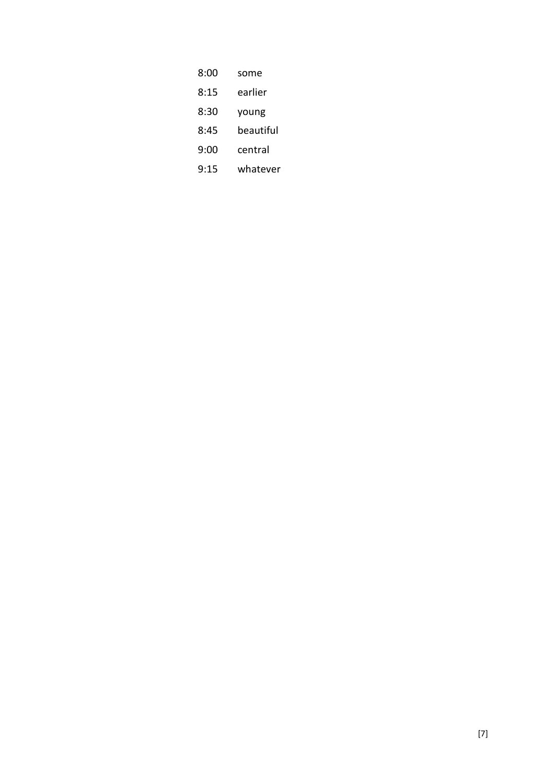| 8:00 | some      |
|------|-----------|
| 8:15 | earlier   |
| 8:30 | young     |
| 8:45 | beautiful |
| 9:00 | central   |
| 9:15 | whatever  |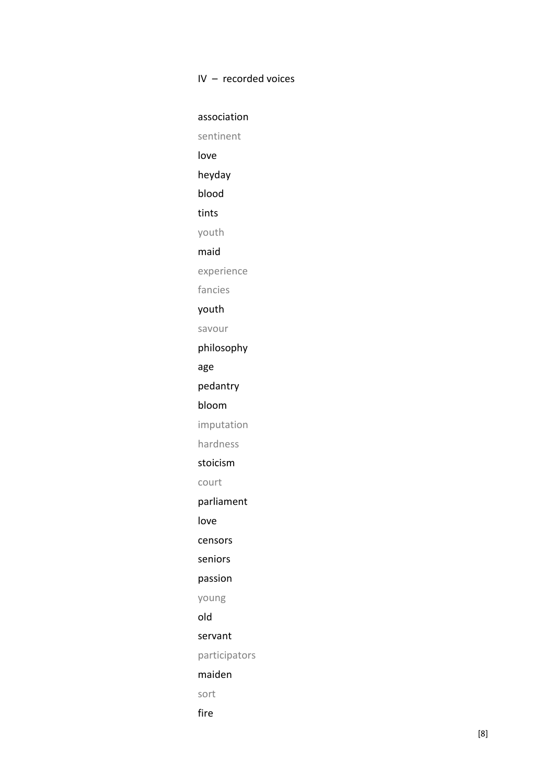## IV – recorded voices

association sentinent love heyday blood tints youth maid experience fancies youth savour philosophy age pedantry bloom imputation hardness stoicism court parliament love censors seniors passion young old servant participators maiden sort fire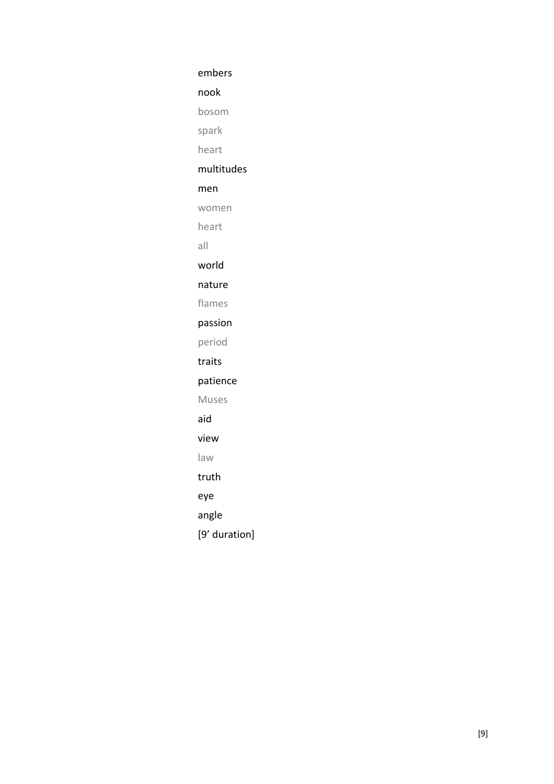embers

nook

bosom

spark

heart

## multitudes

## men

women

heart

all

world

nature

flames

passion

period

traits

patience

Muses

aid

view

law

truth

eye

angle

[9' duration]